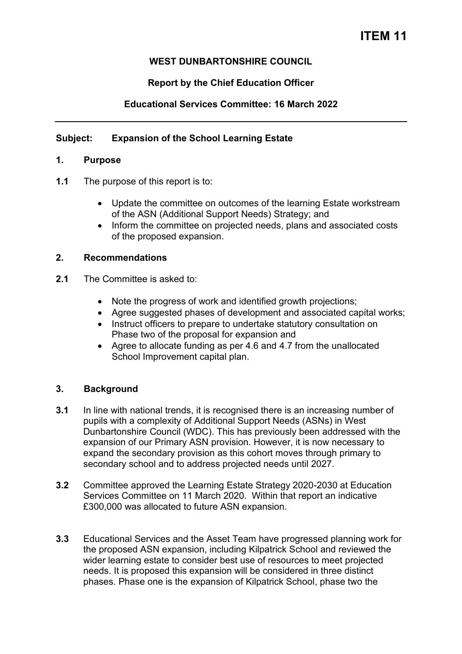# **ITEM 11**

## **WEST DUNBARTONSHIRE COUNCIL**

## **Report by the Chief Education Officer**

# **Educational Services Committee: 16 March 2022**

## **Subject: Expansion of the School Learning Estate**

#### **1. Purpose**

- **1.1** The purpose of this report is to:
	- Update the committee on outcomes of the learning Estate workstream of the ASN (Additional Support Needs) Strategy; and
	- Inform the committee on projected needs, plans and associated costs of the proposed expansion.

#### **2. Recommendations**

- **2.1** The Committee is asked to:
	- Note the progress of work and identified growth projections;
	- Agree suggested phases of development and associated capital works;
	- Instruct officers to prepare to undertake statutory consultation on Phase two of the proposal for expansion and
	- Agree to allocate funding as per 4.6 and 4.7 from the unallocated School Improvement capital plan.

## **3. Background**

- **3.1** In line with national trends, it is recognised there is an increasing number of pupils with a complexity of Additional Support Needs (ASNs) in West Dunbartonshire Council (WDC). This has previously been addressed with the expansion of our Primary ASN provision. However, it is now necessary to expand the secondary provision as this cohort moves through primary to secondary school and to address projected needs until 2027.
- **3.2** Committee approved the Learning Estate Strategy 2020-2030 at Education Services Committee on 11 March 2020. Within that report an indicative £300,000 was allocated to future ASN expansion.
- **3.3** Educational Services and the Asset Team have progressed planning work for the proposed ASN expansion, including Kilpatrick School and reviewed the wider learning estate to consider best use of resources to meet projected needs. It is proposed this expansion will be considered in three distinct phases. Phase one is the expansion of Kilpatrick School, phase two the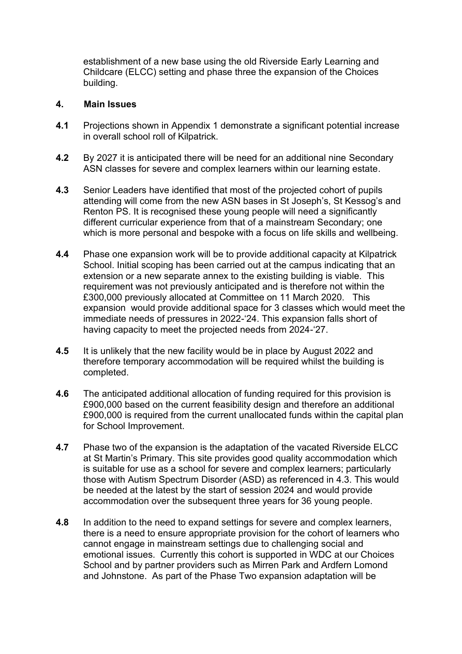establishment of a new base using the old Riverside Early Learning and Childcare (ELCC) setting and phase three the expansion of the Choices building.

#### **4. Main Issues**

- **4.1** Projections shown in Appendix 1 demonstrate a significant potential increase in overall school roll of Kilpatrick.
- **4.2** By 2027 it is anticipated there will be need for an additional nine Secondary ASN classes for severe and complex learners within our learning estate.
- **4.3** Senior Leaders have identified that most of the projected cohort of pupils attending will come from the new ASN bases in St Joseph's, St Kessog's and Renton PS. It is recognised these young people will need a significantly different curricular experience from that of a mainstream Secondary; one which is more personal and bespoke with a focus on life skills and wellbeing.
- **4.4** Phase one expansion work will be to provide additional capacity at Kilpatrick School. Initial scoping has been carried out at the campus indicating that an extension or a new separate annex to the existing building is viable. This requirement was not previously anticipated and is therefore not within the £300,000 previously allocated at Committee on 11 March 2020. This expansion would provide additional space for 3 classes which would meet the immediate needs of pressures in 2022-'24. This expansion falls short of having capacity to meet the projected needs from 2024-'27.
- **4.5** It is unlikely that the new facility would be in place by August 2022 and therefore temporary accommodation will be required whilst the building is completed.
- **4.6** The anticipated additional allocation of funding required for this provision is £900,000 based on the current feasibility design and therefore an additional £900,000 is required from the current unallocated funds within the capital plan for School Improvement.
- **4.7** Phase two of the expansion is the adaptation of the vacated Riverside ELCC at St Martin's Primary. This site provides good quality accommodation which is suitable for use as a school for severe and complex learners; particularly those with Autism Spectrum Disorder (ASD) as referenced in 4.3. This would be needed at the latest by the start of session 2024 and would provide accommodation over the subsequent three years for 36 young people.
- **4.8** In addition to the need to expand settings for severe and complex learners, there is a need to ensure appropriate provision for the cohort of learners who cannot engage in mainstream settings due to challenging social and emotional issues. Currently this cohort is supported in WDC at our Choices School and by partner providers such as Mirren Park and Ardfern Lomond and Johnstone. As part of the Phase Two expansion adaptation will be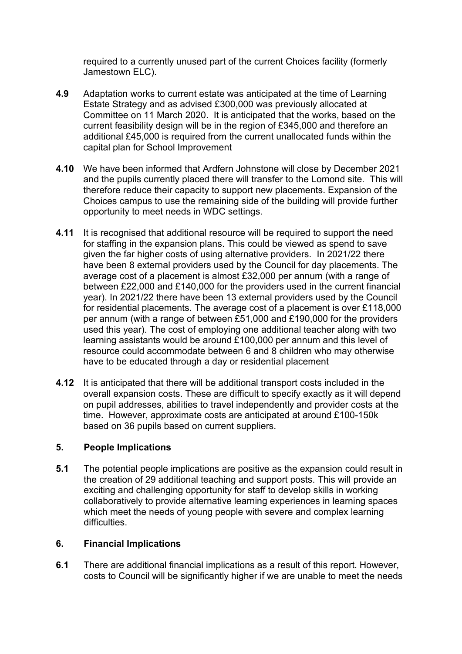required to a currently unused part of the current Choices facility (formerly Jamestown ELC).

- **4.9** Adaptation works to current estate was anticipated at the time of Learning Estate Strategy and as advised £300,000 was previously allocated at Committee on 11 March 2020. It is anticipated that the works, based on the current feasibility design will be in the region of £345,000 and therefore an additional £45,000 is required from the current unallocated funds within the capital plan for School Improvement
- **4.10** We have been informed that Ardfern Johnstone will close by December 2021 and the pupils currently placed there will transfer to the Lomond site. This will therefore reduce their capacity to support new placements. Expansion of the Choices campus to use the remaining side of the building will provide further opportunity to meet needs in WDC settings.
- **4.11** It is recognised that additional resource will be required to support the need for staffing in the expansion plans. This could be viewed as spend to save given the far higher costs of using alternative providers. In 2021/22 there have been 8 external providers used by the Council for day placements. The average cost of a placement is almost £32,000 per annum (with a range of between £22,000 and £140,000 for the providers used in the current financial year). In 2021/22 there have been 13 external providers used by the Council for residential placements. The average cost of a placement is over £118,000 per annum (with a range of between £51,000 and £190,000 for the providers used this year). The cost of employing one additional teacher along with two learning assistants would be around £100,000 per annum and this level of resource could accommodate between 6 and 8 children who may otherwise have to be educated through a day or residential placement
- **4.12** It is anticipated that there will be additional transport costs included in the overall expansion costs. These are difficult to specify exactly as it will depend on pupil addresses, abilities to travel independently and provider costs at the time. However, approximate costs are anticipated at around £100-150k based on 36 pupils based on current suppliers.

# **5. People Implications**

**5.1** The potential people implications are positive as the expansion could result in the creation of 29 additional teaching and support posts. This will provide an exciting and challenging opportunity for staff to develop skills in working collaboratively to provide alternative learning experiences in learning spaces which meet the needs of young people with severe and complex learning difficulties.

# **6. Financial Implications**

**6.1** There are additional financial implications as a result of this report. However, costs to Council will be significantly higher if we are unable to meet the needs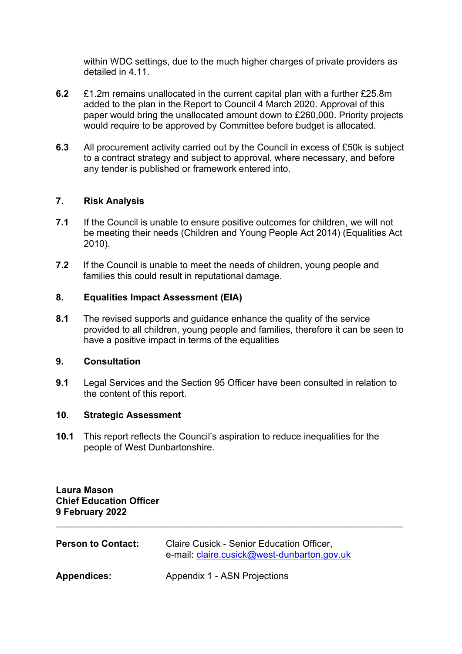within WDC settings, due to the much higher charges of private providers as detailed in 4.11.

- **6.2** £1.2m remains unallocated in the current capital plan with a further £25.8m added to the plan in the Report to Council 4 March 2020. Approval of this paper would bring the unallocated amount down to £260,000. Priority projects would require to be approved by Committee before budget is allocated.
- **6.3** All procurement activity carried out by the Council in excess of £50k is subject to a contract strategy and subject to approval, where necessary, and before any tender is published or framework entered into.

# **7. Risk Analysis**

- **7.1** If the Council is unable to ensure positive outcomes for children, we will not be meeting their needs (Children and Young People Act 2014) (Equalities Act 2010).
- **7.2** If the Council is unable to meet the needs of children, young people and families this could result in reputational damage.

## **8. Equalities Impact Assessment (EIA)**

**8.1** The revised supports and guidance enhance the quality of the service provided to all children, young people and families, therefore it can be seen to have a positive impact in terms of the equalities

## **9. Consultation**

**9.1** Legal Services and the Section 95 Officer have been consulted in relation to the content of this report.

## **10. Strategic Assessment**

**10.1** This report reflects the Council's aspiration to reduce inequalities for the people of West Dunbartonshire.

\_\_\_\_\_\_\_\_\_\_\_\_\_\_\_\_\_\_\_\_\_\_\_\_\_\_\_\_\_\_\_\_\_\_\_\_\_\_\_\_\_\_\_\_\_\_\_\_\_\_\_\_\_\_\_\_\_\_\_\_\_\_\_\_\_\_\_

**Laura Mason Chief Education Officer 9 February 2022** 

| <b>Person to Contact:</b> | Claire Cusick - Senior Education Officer,<br>e-mail: claire.cusick@west-dunbarton.gov.uk |
|---------------------------|------------------------------------------------------------------------------------------|
| <b>Appendices:</b>        | Appendix 1 - ASN Projections                                                             |